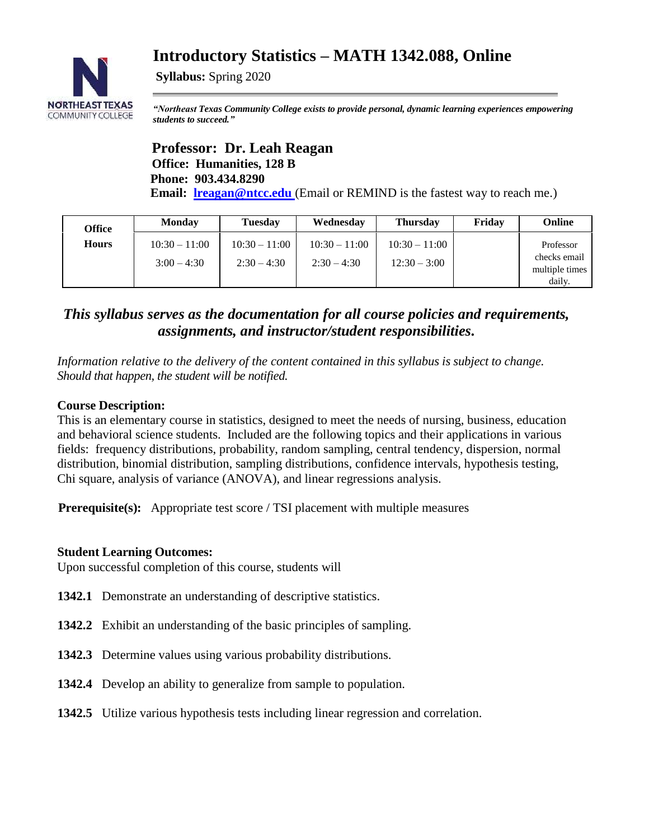# **Introductory Statistics – MATH 1342.088, Online**



**Syllabus:** Spring 2020

*"Northeast Texas Community College exists to provide personal, dynamic learning experiences empowering students to succeed."*

## **Professor: Dr. Leah Reagan Office: Humanities, 128 B Phone: 903.434.8290 Email: [lreagan@ntcc.edu](mailto:lreagan@ntcc.edu)** (Email or REMIND is the fastest way to reach me.)

| Office       | <b>Monday</b>                    | <b>Tuesday</b>                   | Wednesday                        | <b>Thursday</b>                   | Friday | Online                                                |
|--------------|----------------------------------|----------------------------------|----------------------------------|-----------------------------------|--------|-------------------------------------------------------|
| <b>Hours</b> | $10:30 - 11:00$<br>$3:00 - 4:30$ | $10:30 - 11:00$<br>$2:30 - 4:30$ | $10:30 - 11:00$<br>$2:30 - 4:30$ | $10:30 - 11:00$<br>$12:30 - 3:00$ |        | Professor<br>checks email<br>multiple times<br>daily. |

## *This syllabus serves as the documentation for all course policies and requirements, assignments, and instructor/student responsibilities.*

*Information relative to the delivery of the content contained in this syllabus is subject to change. Should that happen, the student will be notified.*

## **Course Description:**

This is an elementary course in statistics, designed to meet the needs of nursing, business, education and behavioral science students. Included are the following topics and their applications in various fields: frequency distributions, probability, random sampling, central tendency, dispersion, normal distribution, binomial distribution, sampling distributions, confidence intervals, hypothesis testing, Chi square, analysis of variance (ANOVA), and linear regressions analysis.

**Prerequisite(s):** Appropriate test score / TSI placement with multiple measures

#### **Student Learning Outcomes:**

Upon successful completion of this course, students will

- **1342.1** Demonstrate an understanding of descriptive statistics.
- **1342.2** Exhibit an understanding of the basic principles of sampling.
- **1342.3** Determine values using various probability distributions.
- **1342.4** Develop an ability to generalize from sample to population.
- **1342.5** Utilize various hypothesis tests including linear regression and correlation.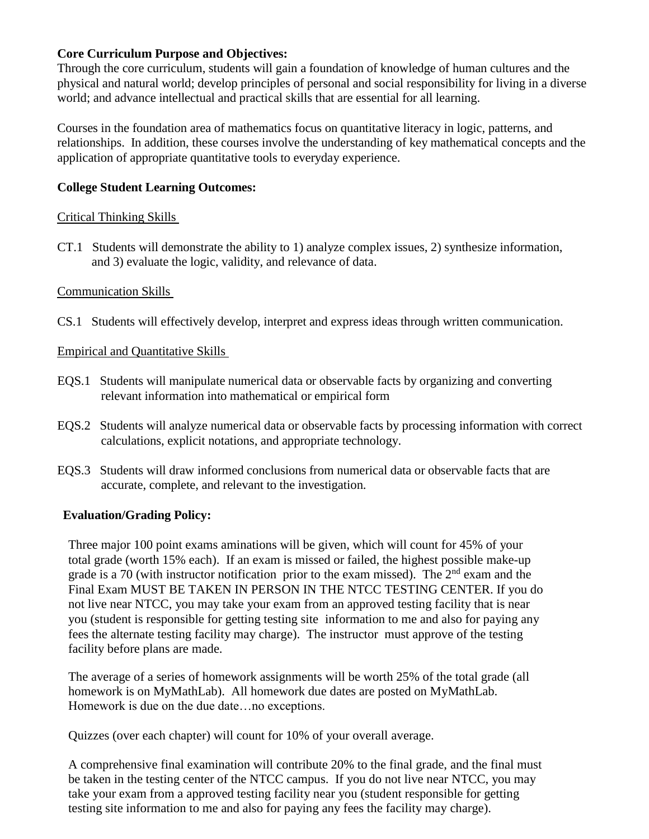## **Core Curriculum Purpose and Objectives:**

Through the core curriculum, students will gain a foundation of knowledge of human cultures and the physical and natural world; develop principles of personal and social responsibility for living in a diverse world; and advance intellectual and practical skills that are essential for all learning.

Courses in the foundation area of mathematics focus on quantitative literacy in logic, patterns, and relationships. In addition, these courses involve the understanding of key mathematical concepts and the application of appropriate quantitative tools to everyday experience.

#### **College Student Learning Outcomes:**

#### Critical Thinking Skills

CT.1 Students will demonstrate the ability to 1) analyze complex issues, 2) synthesize information, and 3) evaluate the logic, validity, and relevance of data.

#### Communication Skills

CS.1 Students will effectively develop, interpret and express ideas through written communication.

#### Empirical and Quantitative Skills

- EQS.1 Students will manipulate numerical data or observable facts by organizing and converting relevant information into mathematical or empirical form
- EQS.2 Students will analyze numerical data or observable facts by processing information with correct calculations, explicit notations, and appropriate technology.
- EQS.3 Students will draw informed conclusions from numerical data or observable facts that are accurate, complete, and relevant to the investigation.

#### **Evaluation/Grading Policy:**

Three major 100 point exams aminations will be given, which will count for 45% of your total grade (worth 15% each). If an exam is missed or failed, the highest possible make-up grade is a 70 (with instructor notification prior to the exam missed). The  $2<sup>nd</sup>$  exam and the Final Exam MUST BE TAKEN IN PERSON IN THE NTCC TESTING CENTER. If you do not live near NTCC, you may take your exam from an approved testing facility that is near you (student is responsible for getting testing site information to me and also for paying any fees the alternate testing facility may charge). The instructor must approve of the testing facility before plans are made.

The average of a series of homework assignments will be worth 25% of the total grade (all homework is on MyMathLab). All homework due dates are posted on MyMathLab. Homework is due on the due date…no exceptions.

Quizzes (over each chapter) will count for 10% of your overall average.

A comprehensive final examination will contribute 20% to the final grade, and the final must be taken in the testing center of the NTCC campus. If you do not live near NTCC, you may take your exam from a approved testing facility near you (student responsible for getting testing site information to me and also for paying any fees the facility may charge).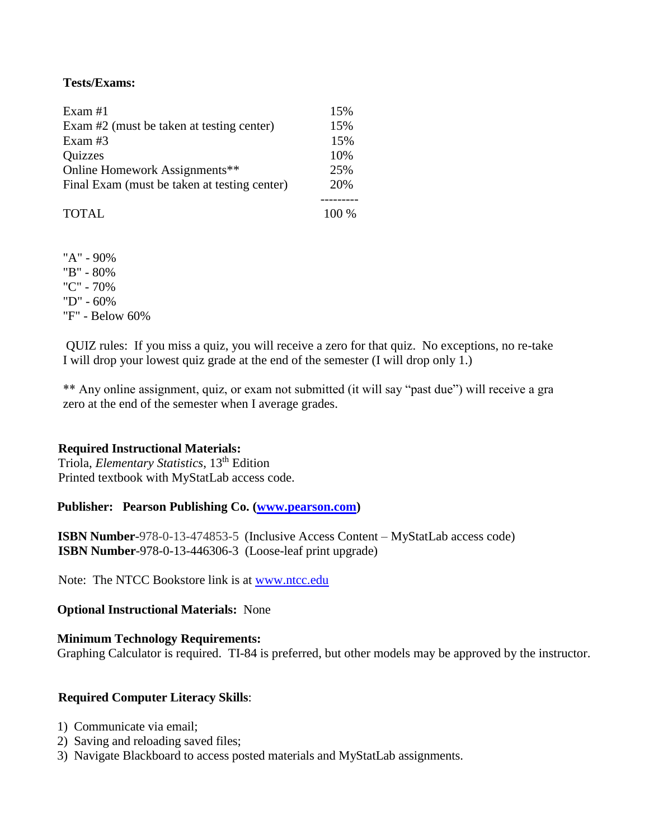## **Tests/Exams:**

| Exam $#1$                                    | 15% |
|----------------------------------------------|-----|
| Exam #2 (must be taken at testing center)    | 15% |
| Exam $#3$                                    | 15% |
| Quizzes                                      | 10% |
| Online Homework Assignments**                | 25% |
| Final Exam (must be taken at testing center) | 20% |
|                                              |     |
| <b>TOTAL</b>                                 |     |

"A" - 90% "B" - 80% "C" - 70% "D" - 60% "F" - Below 60%

QUIZ rules: If you miss a quiz, you will receive a zero for that quiz. No exceptions, no re-take I will drop your lowest quiz grade at the end of the semester (I will drop only 1.)

\*\* Any online assignment, quiz, or exam not submitted (it will say "past due") will receive a gra zero at the end of the semester when I average grades.

#### **Required Instructional Materials:**

 Triola, *Elementary Statistics*, 13th Edition Printed textbook with MyStatLab access code.

#### **Publisher: Pearson Publishing Co. [\(www.pearson.com\)](http://www.pearson.com/)**

 **ISBN Number**-978-0-13-474853-5 (Inclusive Access Content – MyStatLab access code) **ISBN Number**-978-0-13-446306-3 (Loose-leaf print upgrade)

Note: The NTCC Bookstore link is at [www.ntcc.edu](http://www.ntcc.edu/)

#### **Optional Instructional Materials:** None

#### **Minimum Technology Requirements:**

Graphing Calculator is required. TI-84 is preferred, but other models may be approved by the instructor.

## **Required Computer Literacy Skills**:

- 1) Communicate via email;
- 2) Saving and reloading saved files;
- 3) Navigate Blackboard to access posted materials and MyStatLab assignments.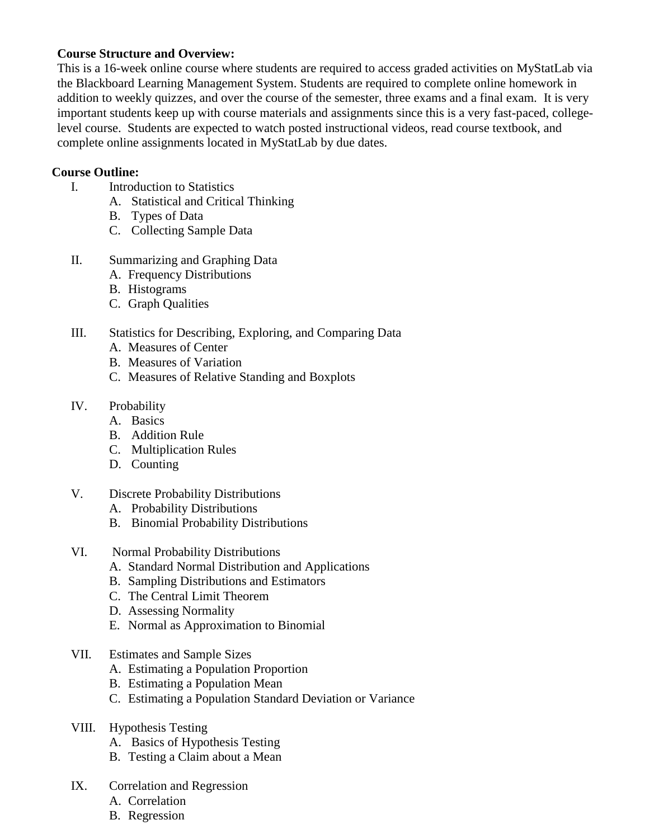#### **Course Structure and Overview:**

This is a 16-week online course where students are required to access graded activities on MyStatLab via the Blackboard Learning Management System. Students are required to complete online homework in addition to weekly quizzes, and over the course of the semester, three exams and a final exam. It is very important students keep up with course materials and assignments since this is a very fast-paced, collegelevel course. Students are expected to watch posted instructional videos, read course textbook, and complete online assignments located in MyStatLab by due dates.

#### **Course Outline:**

- I. Introduction to Statistics
	- A. Statistical and Critical Thinking
	- B. Types of Data
	- C. Collecting Sample Data
- II. Summarizing and Graphing Data
	- A. Frequency Distributions
	- B. Histograms
	- C. Graph Qualities
- III. Statistics for Describing, Exploring, and Comparing Data
	- A. Measures of Center
	- B. Measures of Variation
	- C. Measures of Relative Standing and Boxplots

#### IV. Probability

- A. Basics
- B. Addition Rule
- C. Multiplication Rules
- D. Counting
- V. Discrete Probability Distributions
	- A. Probability Distributions
	- B. Binomial Probability Distributions
- VI. Normal Probability Distributions
	- A. Standard Normal Distribution and Applications
	- B. Sampling Distributions and Estimators
	- C. The Central Limit Theorem
	- D. Assessing Normality
	- E. Normal as Approximation to Binomial

#### VII. Estimates and Sample Sizes

- A. Estimating a Population Proportion
- B. Estimating a Population Mean
- C. Estimating a Population Standard Deviation or Variance
- VIII. Hypothesis Testing
	- A. Basics of Hypothesis Testing
	- B. Testing a Claim about a Mean
- IX. Correlation and Regression
	- A. Correlation
	- B. Regression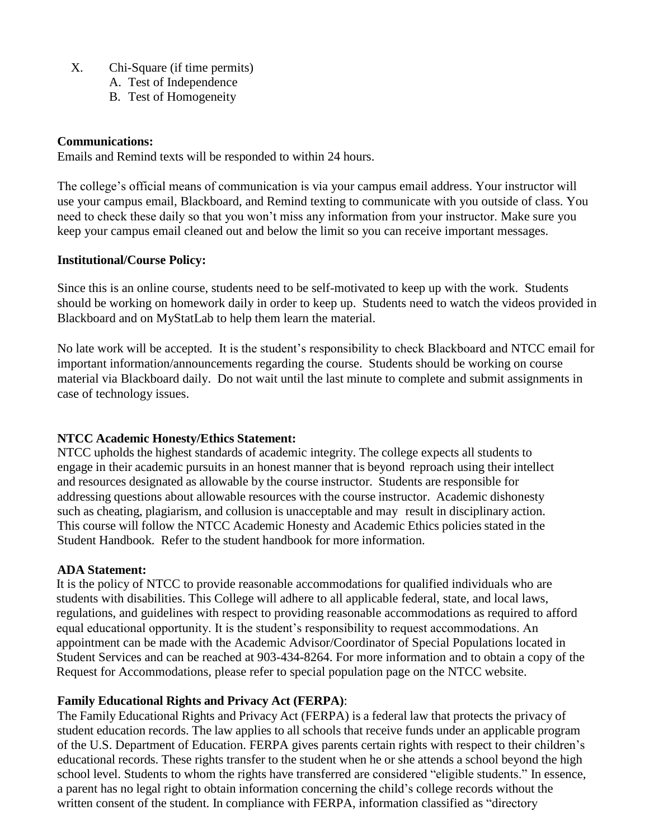- X. Chi-Square (if time permits)
	- A. Test of Independence
	- B. Test of Homogeneity

## **Communications:**

Emails and Remind texts will be responded to within 24 hours.

The college's official means of communication is via your campus email address. Your instructor will use your campus email, Blackboard, and Remind texting to communicate with you outside of class. You need to check these daily so that you won't miss any information from your instructor. Make sure you keep your campus email cleaned out and below the limit so you can receive important messages.

## **Institutional/Course Policy:**

Since this is an online course, students need to be self-motivated to keep up with the work. Students should be working on homework daily in order to keep up. Students need to watch the videos provided in Blackboard and on MyStatLab to help them learn the material.

No late work will be accepted. It is the student's responsibility to check Blackboard and NTCC email for important information/announcements regarding the course. Students should be working on course material via Blackboard daily. Do not wait until the last minute to complete and submit assignments in case of technology issues.

## **NTCC Academic Honesty/Ethics Statement:**

NTCC upholds the highest standards of academic integrity. The college expects all students to engage in their academic pursuits in an honest manner that is beyond reproach using their intellect and resources designated as allowable by the course instructor. Students are responsible for addressing questions about allowable resources with the course instructor. Academic dishonesty such as cheating, plagiarism, and collusion is unacceptable and may result in disciplinary action. This course will follow the NTCC Academic Honesty and Academic Ethics policies stated in the Student Handbook. Refer to the student handbook for more information.

## **ADA Statement:**

It is the policy of NTCC to provide reasonable accommodations for qualified individuals who are students with disabilities. This College will adhere to all applicable federal, state, and local laws, regulations, and guidelines with respect to providing reasonable accommodations as required to afford equal educational opportunity. It is the student's responsibility to request accommodations. An appointment can be made with the Academic Advisor/Coordinator of Special Populations located in Student Services and can be reached at 903-434-8264. For more information and to obtain a copy of the Request for Accommodations, please refer to special population page on the NTCC websit[e.](http://www.ntcc.edu/index.php?module=Pagesetter&func=viewpub&tid=111&pid=1) 

## **Family Educational Rights and Privacy Act (FERPA)**:

The Family Educational Rights and Privacy Act (FERPA) is a federal law that protects the privacy of student education records. The law applies to all schools that receive funds under an applicable program of the U.S. Department of Education. FERPA gives parents certain rights with respect to their children's educational records. These rights transfer to the student when he or she attends a school beyond the high school level. Students to whom the rights have transferred are considered "eligible students." In essence, a parent has no legal right to obtain information concerning the child's college records without the written consent of the student. In compliance with FERPA, information classified as "directory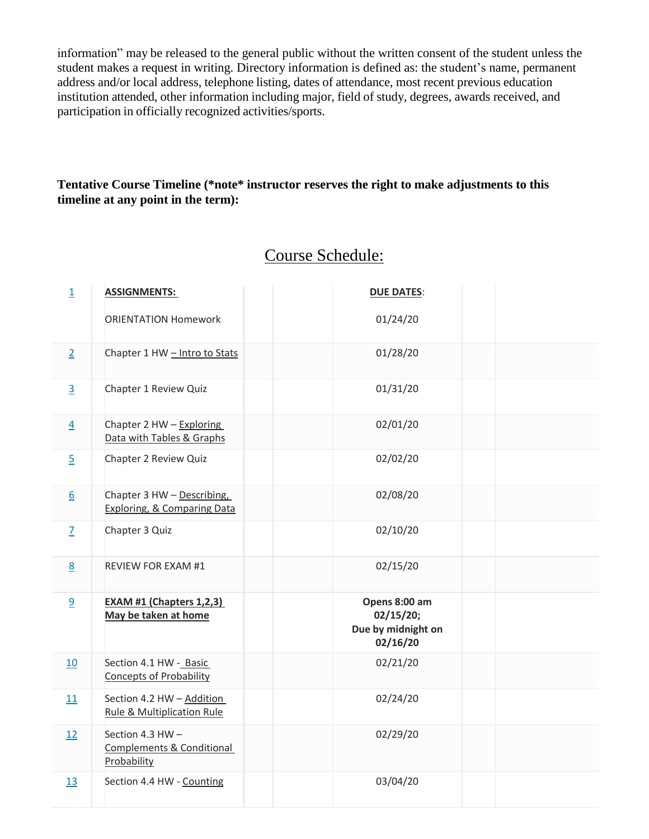information" may be released to the general public without the written consent of the student unless the student makes a request in writing. Directory information is defined as: the student's name, permanent address and/or local address, telephone listing, dates of attendance, most recent previous education institution attended, other information including major, field of study, degrees, awards received, and participation in officially recognized activities/sports.

## **Tentative Course Timeline (\*note\* instructor reserves the right to make adjustments to this timeline at any point in the term):**

## Course Schedule:

| $\overline{\mathbf{1}}$ | <b>ASSIGNMENTS:</b>                                                     | <b>DUE DATES:</b>                                            |  |
|-------------------------|-------------------------------------------------------------------------|--------------------------------------------------------------|--|
|                         | <b>ORIENTATION Homework</b>                                             | 01/24/20                                                     |  |
| $\overline{2}$          | Chapter 1 HW - Intro to Stats                                           | 01/28/20                                                     |  |
| $\overline{3}$          | Chapter 1 Review Quiz                                                   | 01/31/20                                                     |  |
| $\overline{4}$          | Chapter 2 HW - Exploring<br>Data with Tables & Graphs                   | 02/01/20                                                     |  |
| $\overline{5}$          | Chapter 2 Review Quiz                                                   | 02/02/20                                                     |  |
| $6 \overline{6}$        | Chapter 3 HW - Describing,<br><b>Exploring, &amp; Comparing Data</b>    | 02/08/20                                                     |  |
| $\overline{Z}$          | Chapter 3 Quiz                                                          | 02/10/20                                                     |  |
| 8                       | <b>REVIEW FOR EXAM #1</b>                                               | 02/15/20                                                     |  |
| $\overline{9}$          | EXAM #1 (Chapters 1,2,3)<br>May be taken at home                        | Opens 8:00 am<br>02/15/20;<br>Due by midnight on<br>02/16/20 |  |
| 10                      | Section 4.1 HW - Basic<br><b>Concepts of Probability</b>                | 02/21/20                                                     |  |
| 11                      | Section 4.2 HW - Addition<br><b>Rule &amp; Multiplication Rule</b>      | 02/24/20                                                     |  |
| 12                      | Section 4.3 HW -<br><b>Complements &amp; Conditional</b><br>Probability | 02/29/20                                                     |  |
| 13                      | Section 4.4 HW - Counting                                               | 03/04/20                                                     |  |